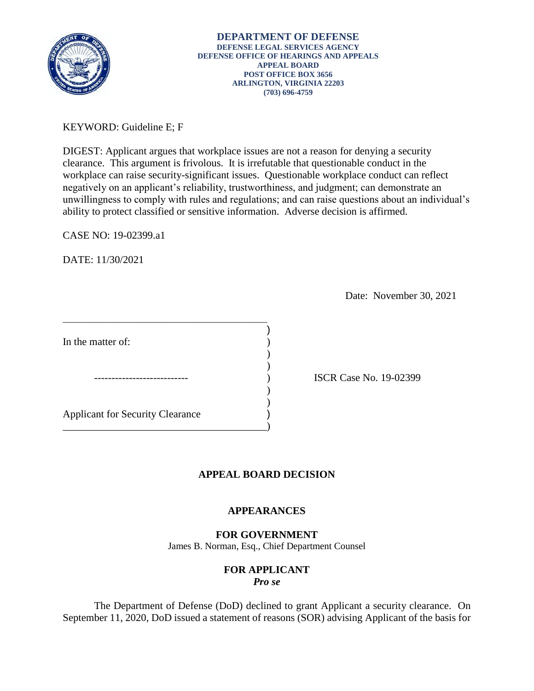

KEYWORD: Guideline E; F

DIGEST: Applicant argues that workplace issues are not a reason for denying a security clearance. This argument is frivolous. It is irrefutable that questionable conduct in the workplace can raise security-significant issues. Questionable workplace conduct can reflect negatively on an applicant's reliability, trustworthiness, and judgment; can demonstrate an unwillingness to comply with rules and regulations; and can raise questions about an individual's ability to protect classified or sensitive information. Adverse decision is affirmed.

CASE NO: 19-02399.a1

DATE: 11/30/2021

Date: November 30, 2021

| In the matter of:                       |  |
|-----------------------------------------|--|
|                                         |  |
|                                         |  |
|                                         |  |
| <b>Applicant for Security Clearance</b> |  |

\_\_\_\_\_\_\_\_\_\_\_\_\_\_\_\_\_\_\_\_\_\_\_\_\_\_\_\_\_\_\_\_\_\_\_\_\_\_\_\_\_\_\_\_\_\_\_

) ISCR Case No. 19-02399

# **APPEAL BOARD DECISION**

# **APPEARANCES**

## **FOR GOVERNMENT**

James B. Norman, Esq., Chief Department Counsel

## **FOR APPLICANT**

*Pro se* 

The Department of Defense (DoD) declined to grant Applicant a security clearance. On September 11, 2020, DoD issued a statement of reasons (SOR) advising Applicant of the basis for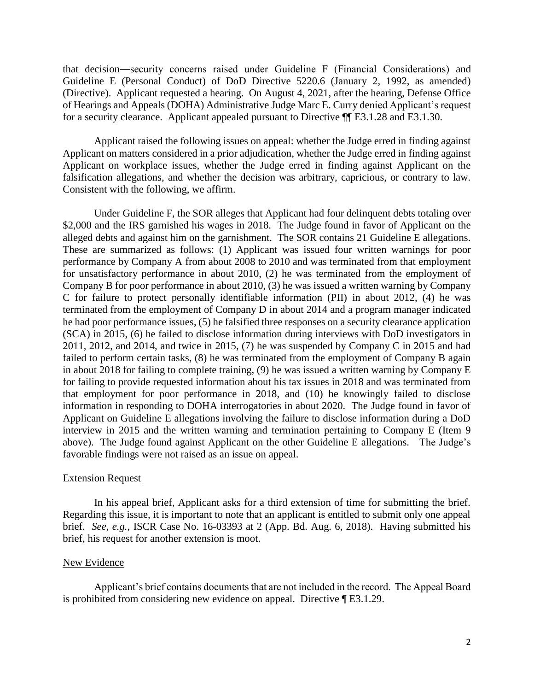that decision―security concerns raised under Guideline F (Financial Considerations) and Guideline E (Personal Conduct) of DoD Directive 5220.6 (January 2, 1992, as amended) (Directive). Applicant requested a hearing. On August 4, 2021, after the hearing, Defense Office of Hearings and Appeals (DOHA) Administrative Judge Marc E. Curry denied Applicant's request for a security clearance. Applicant appealed pursuant to Directive ¶¶ E3.1.28 and E3.1.30.

 Applicant raised the following issues on appeal: whether the Judge erred in finding against Applicant on matters considered in a prior adjudication, whether the Judge erred in finding against Applicant on workplace issues, whether the Judge erred in finding against Applicant on the falsification allegations, and whether the decision was arbitrary, capricious, or contrary to law. Consistent with the following, we affirm.

 Under Guideline F, the SOR alleges that Applicant had four delinquent debts totaling over \$2,000 and the IRS garnished his wages in 2018. The Judge found in favor of Applicant on the alleged debts and against him on the garnishment. The SOR contains 21 Guideline E allegations. These are summarized as follows: (1) Applicant was issued four written warnings for poor These are summarized as follows: (1) Applicant was issued four written warnings for poor performance by Company A from about 2008 to 2010 and was terminated from that employment C for failure to protect personally identifiable information (PII) in about 2012, (4) he was he had poor performance issues, (5) he falsified three responses on a security clearance application (SCA) in 2015, (6) he failed to disclose information during interviews with DoD investigators in 2011, 2012, and 2014, and twice in 2015, (7) he was suspended by Company C in 2015 and had for failing to provide requested information about his tax issues in 2018 and was terminated from that employment for poor performance in 2018, and (10) he knowingly failed to disclose information in responding to DOHA interrogatories in about 2020. The Judge found in favor of Applicant on Guideline E allegations involving the failure to disclose information during a DoD above). The Judge found against Applicant on the other Guideline E allegations. The Judge's for unsatisfactory performance in about 2010, (2) he was terminated from the employment of Company B for poor performance in about 2010, (3) he was issued a written warning by Company terminated from the employment of Company D in about 2014 and a program manager indicated failed to perform certain tasks, (8) he was terminated from the employment of Company B again in about 2018 for failing to complete training, (9) he was issued a written warning by Company E interview in 2015 and the written warning and termination pertaining to Company E (Item 9 favorable findings were not raised as an issue on appeal.

#### Extension Request

 In his appeal brief, Applicant asks for a third extension of time for submitting the brief. Regarding this issue, it is important to note that an applicant is entitled to submit only one appeal brief. *See, e.g.*, ISCR Case No. 16-03393 at 2 (App. Bd. Aug. 6, 2018). Having submitted his brief, his request for another extension is moot.

#### New Evidence

 Applicant's brief contains documents that are not included in the record. The Appeal Board is prohibited from considering new evidence on appeal. Directive ¶ E3.1.29.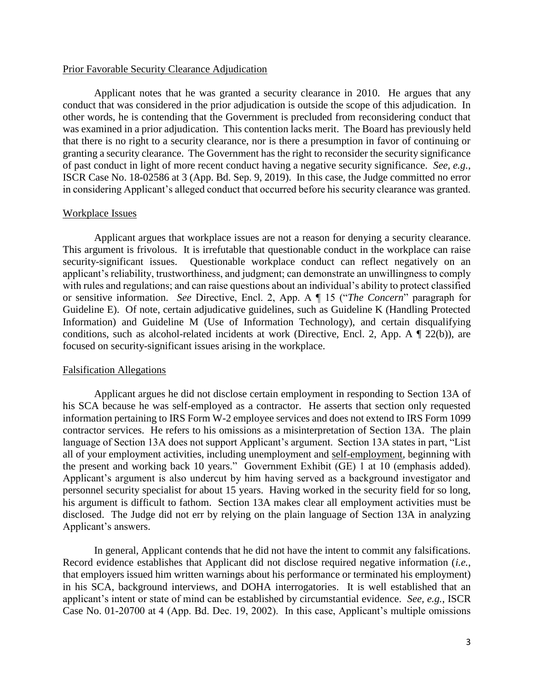### Prior Favorable Security Clearance Adjudication

 Applicant notes that he was granted a security clearance in 2010. He argues that any conduct that was considered in the prior adjudication is outside the scope of this adjudication. In other words, he is contending that the Government is precluded from reconsidering conduct that was examined in a prior adjudication. This contention lacks merit. The Board has previously held that there is no right to a security clearance, nor is there a presumption in favor of continuing or granting a security clearance. The Government has the right to reconsider the security significance of past conduct in light of more recent conduct having a negative security significance. *See, e.g.*, ISCR Case No. 18-02586 at 3 (App. Bd. Sep. 9, 2019). In this case, the Judge committed no error in considering Applicant's alleged conduct that occurred before his security clearance was granted.

### Workplace Issues

 Applicant argues that workplace issues are not a reason for denying a security clearance. or sensitive information. *See* Directive, Encl. 2, App. A ¶ 15 ("*The Concern*" paragraph for Guideline E). Of note, certain adjudicative guidelines, such as Guideline K (Handling Protected Information) and Guideline M (Use of Information Technology), and certain disqualifying This argument is frivolous. It is irrefutable that questionable conduct in the workplace can raise security-significant issues. Questionable workplace conduct can reflect negatively on an applicant's reliability, trustworthiness, and judgment; can demonstrate an unwillingness to comply with rules and regulations; and can raise questions about an individual's ability to protect classified conditions, such as alcohol-related incidents at work (Directive, Encl. 2, App. A ¶ 22(b)), are focused on security-significant issues arising in the workplace.

#### Falsification Allegations

 his SCA because he was self-employed as a contractor. He asserts that section only requested information pertaining to IRS Form W-2 employee services and does not extend to IRS Form 1099 contractor services. He refers to his omissions as a misinterpretation of Section 13A. The plain the present and working back 10 years." Government Exhibit (GE) 1 at 10 (emphasis added). Applicant's argument is also undercut by him having served as a background investigator and personnel security specialist for about 15 years. Having worked in the security field for so long, his argument is difficult to fathom. Section 13A makes clear all employment activities must be disclosed. The Judge did not err by relying on the plain language of Section 13A in analyzing Applicant argues he did not disclose certain employment in responding to Section 13A of language of Section 13A does not support Applicant's argument. Section 13A states in part, "List all of your employment activities, including unemployment and self-employment, beginning with Applicant's answers.

 In general, Applicant contends that he did not have the intent to commit any falsifications. in his SCA, background interviews, and DOHA interrogatories. It is well established that an Case No. 01-20700 at 4 (App. Bd. Dec. 19, 2002). In this case, Applicant's multiple omissions Record evidence establishes that Applicant did not disclose required negative information (*i.e.*, that employers issued him written warnings about his performance or terminated his employment) applicant's intent or state of mind can be established by circumstantial evidence. *See, e.g.*, ISCR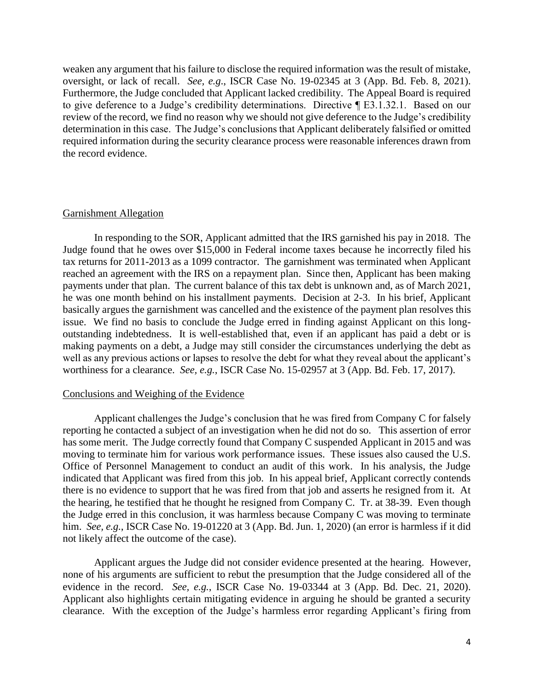oversight, or lack of recall. *See, e.g*., ISCR Case No. 19-02345 at 3 (App. Bd. Feb. 8, 2021). Furthermore, the Judge concluded that Applicant lacked credibility. The Appeal Board is required to give deference to a Judge's credibility determinations. Directive ¶ E3.1.32.1. Based on our review of the record, we find no reason why we should not give deference to the Judge's credibility determination in this case. The Judge's conclusions that Applicant deliberately falsified or omitted required information during the security clearance process were reasonable inferences drawn from weaken any argument that his failure to disclose the required information was the result of mistake, the record evidence.

## Garnishment Allegation

 In responding to the SOR, Applicant admitted that the IRS garnished his pay in 2018. The Judge found that he owes over \$15,000 in Federal income taxes because he incorrectly filed his reached an agreement with the IRS on a repayment plan. Since then, Applicant has been making payments under that plan. The current balance of this tax debt is unknown and, as of March 2021, he was one month behind on his installment payments. Decision at 2-3. In his brief, Applicant issue. We find no basis to conclude the Judge erred in finding against Applicant on this long- outstanding indebtedness. It is well-established that, even if an applicant has paid a debt or is making payments on a debt, a Judge may still consider the circumstances underlying the debt as well as any previous actions or lapses to resolve the debt for what they reveal about the applicant's tax returns for 2011-2013 as a 1099 contractor. The garnishment was terminated when Applicant basically argues the garnishment was cancelled and the existence of the payment plan resolves this worthiness for a clearance. *See, e.g.*, ISCR Case No. 15-02957 at 3 (App. Bd. Feb. 17, 2017).

#### Conclusions and Weighing of the Evidence

 Applicant challenges the Judge's conclusion that he was fired from Company C for falsely reporting he contacted a subject of an investigation when he did not do so. This assertion of error has some merit. The Judge correctly found that Company C suspended Applicant in 2015 and was moving to terminate him for various work performance issues. These issues also caused the U.S. Office of Personnel Management to conduct an audit of this work. In his analysis, the Judge indicated that Applicant was fired from this job. In his appeal brief, Applicant correctly contends there is no evidence to support that he was fired from that job and asserts he resigned from it. At the Judge erred in this conclusion, it was harmless because Company C was moving to terminate him. *See, e.g.*, ISCR Case No. 19-01220 at 3 (App. Bd. Jun. 1, 2020) (an error is harmless if it did the hearing, he testified that he thought he resigned from Company C. Tr. at 38-39. Even though not likely affect the outcome of the case).

 evidence in the record. *See, e.g.*, ISCR Case No. 19-03344 at 3 (App. Bd. Dec. 21, 2020). Applicant also highlights certain mitigating evidence in arguing he should be granted a security clearance. With the exception of the Judge's harmless error regarding Applicant's firing from Applicant argues the Judge did not consider evidence presented at the hearing. However, none of his arguments are sufficient to rebut the presumption that the Judge considered all of the